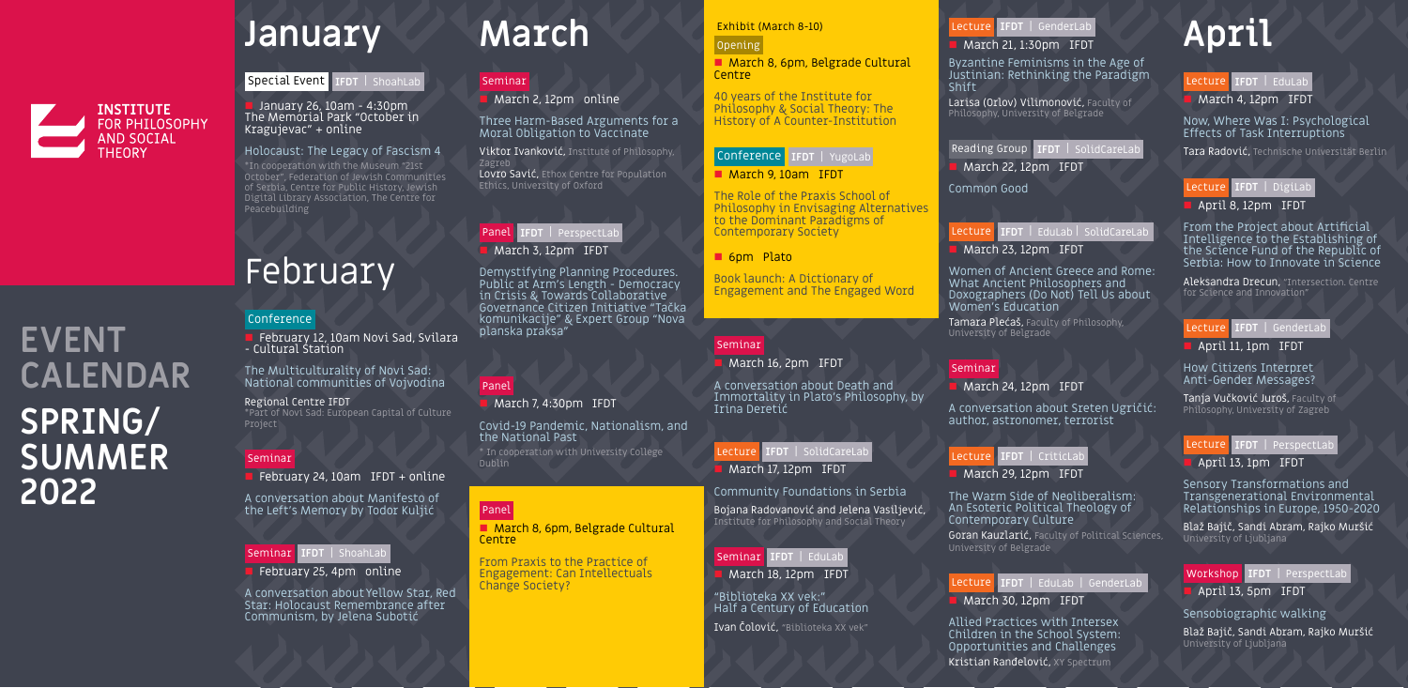

**EVENT** 

**CALENDAR**

# **SPRING/ SUMMER 2022**



# **January**

 January 26, 10am - 4:30pm The Memorial Park "October in Kragujevac" + online

#### Holocaust: The Legacy of Fascism 4

February 12, 10am Novi Sad, Svilara - Cultural Station

\*In cooperation with the Museum "21st October", Federation of Jewish Communities of Serbia, Centre for Public History, Jewish Digital Library Association, The Centre for Peacebuilding

# February

#### Conference

The Multiculturality of Novi Sad: National communities of Vojvodina

Larisa (Orlov) Vilimonović, Faculty of Philosophy, University of Belgrade

Regional Centre IFDT \*Part of Novi Sad: European Capital of Culture Project

### **Seminar**

 $\blacksquare$  February 24, 10am IFDT + online

A conversation about Manifesto of the Left's Memory by Todor Kuljić

February 25, 4pm online

A conversation about Yellow Star, Red Star: Holocaust Remembrance after Communism, by Jelena Subotić

Byzantine Feminisms in the Age of Justinian: Rethinking the Paradigm Shift

## Reading Group

March 22, 12pm IFDT

Common Good

### Lecture

#### March 23, 12pm IFDT

Women of Ancient Greece and Rome: What Ancient Philosophers and Doxographers (Do Not) Tell Us about Women's Education

Tamara Plećaš, Faculty of Philosophy, University of Belgrade

#### **Seminar**

#### **March 24, 12pm IFDT**

### Special Event **IFDT** | ShoahLab

A conversation about Sreten Ugričić: author, astronomer, terrorist

The Warm Side of Neoliberalism: An Esoteric Political Theology of Contemporary Culture Goran Kauzlarić, Faculty of Political Sciences, University of Belgrade

#### Seminar **IFDT** | ShoahLab

Allied Practices with Intersex Children in the School System: Opportunities and Challenges Kristian Ranđelović, XY Spectrum

# **April**

## Lecture **IFDT** | GenderLab

### **March 21, 1:30pm IFDT**

40 years of the Institute for Philosophy & Social Theory: The History of A Counter-Institution

Now, Where Was I: Psychological Effects of Task Interruptions

Tara Radović, Technische Universität Berlin

From the Project about Artificial Intelligence to the Establishing of the Science Fund of the Republic of Serbia: How to Innovate in Science

## Lecture **IFDT** | CriticLab

March 29, 12pm IFDT

Aleksandra Drecun, "Intersection. Centre for Science and Innovation"

How Citizens Interpret Anti-Gender Messages?

## Lecture **IFDT** | EduLab | GenderLab

## March 30, 12pm IFDT

## Lecture **IFDT** | EduLab

March 4, 12pm IFDT

Tanja Vučković Juroš, Faculty of Philosophy, University of Zagreb

April 13, 1pm IFDT

### Lecture **IFDT** | DigiLab

 $\blacksquare$  April 8, 12pm  $\blacksquare$  IFDT

Sensory Transformations and Transgenerational Environmental Relationships in Europe, 1950-2020

Blaž Bajič, Sandi Abram, Rajko Muršić University of Ljubljana

#### Lecture **IFDT** | GenderLab

April 11, 1pm IFDT

#### Lecture **IFDT** | PerspectLab

April 13, 5pm IFDT

Sensobiographic walking

### Workshop **IFDT** | PerspectLab

Blaž Bajič, Sandi Abram, Rajko Muršić University of Ljubljana

**IFDT** | SolidCareLab

**IFDT** | EduLab | SolidCareLab



# **March**

## Seminar

March 2, 12pm online

Three Harm-Based Arguments for a Moral Obligation to Vaccinate

Viktor Ivanković, Institute of Philosophy, Zagreb Lovro Savić, Ethox Centre for Population Ethics, University of Oxford

Demystifying Planning Procedures. Public at Arm's Length - Democracy in Crisis & Towards Collaborative Governance Citizen Initiative "Tačka komunikacije" & Expert Group "Nova planska praksa"

## Panel

March 7, 4:30pm IFDT

Covid-19 Pandemic, Nationalism, and the National Past \* In cooperation with University College

Dublin

## Panel

**March 8, 6pm, Belgrade Cultural Centre** 

From Praxis to the Practice of Engagement: Can Intellectuals Change Society?

#### Exhibit (March 8-10)

### Opening

**March 8, 6pm, Belgrade Cultural Centre** 

## Panel **IFDT** | PerspectLab

**March 3, 12pm IFDT** 

The Role of the Praxis School of Philosophy in Envisaging Alternatives to the Dominant Paradigms of Contemporary Society

#### ■ 6pm Plato

Book launch: A Dictionary of Engagement and The Engaged Word

#### Seminar

March 16, 2pm IFDT

A conversation about Death and Immortality in Plato's Philosophy, by Irina Deretić

#### Conference **IFDT** | YugoLab

#### **March 9, 10am IFDT**

#### Community Foundations in Serbia

Bojana Radovanović and Jelena Vasiljević, Institute for Philosophy and Social Theory

 Lecture March 17, 12pm IFDT **IFDT** | SolidCareLab

"Biblioteka XX vek:" Half a Century of Education

#### Seminar **IFDT** | EduLab

March 18, 12pm IFDT

Ivan Čolović, "Biblioteka XX vek"